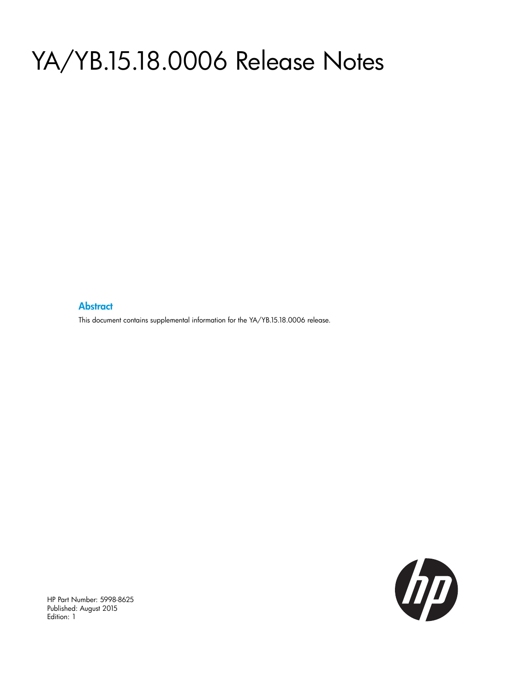# YA/YB.15.18.0006 Release Notes

#### **Abstract**

This document contains supplemental information for the YA/YB.15.18.0006 release.



HP Part Number: 5998-8625 Published: August 2015 Edition: 1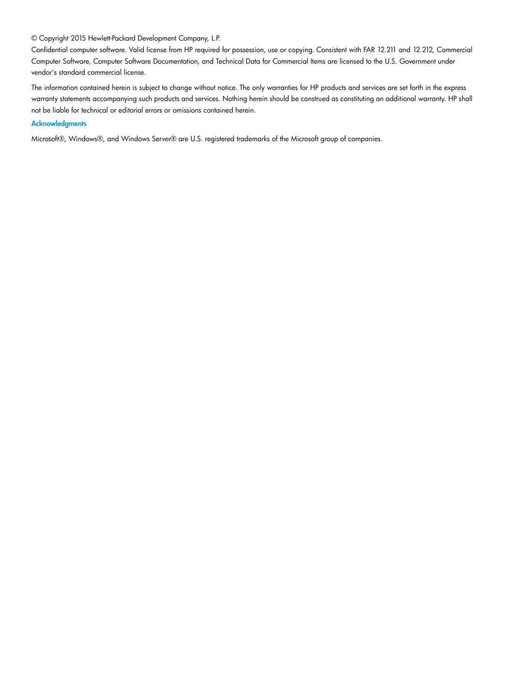#### © Copyright 2015 Hewlett-Packard Development Company, L.P.

Confidential computer software. Valid license from HP required for possession, use or copying. Consistent with FAR 12.211 and 12.212, Commercial Computer Software, Computer Software Documentation, and Technical Data for Commercial Items are licensed to the U.S. Government under vendor's standard commercial license.

The information contained herein is subject to change without notice. The only warranties for HP products and services are set forth in the express warranty statements accompanying such products and services. Nothing herein should be construed as constituting an additional warranty. HP shall not be liable for technical or editorial errors or omissions contained herein.

#### **Acknowledgments**

Microsoft®, Windows®, and Windows Server® are U.S. registered trademarks of the Microsoft group of companies.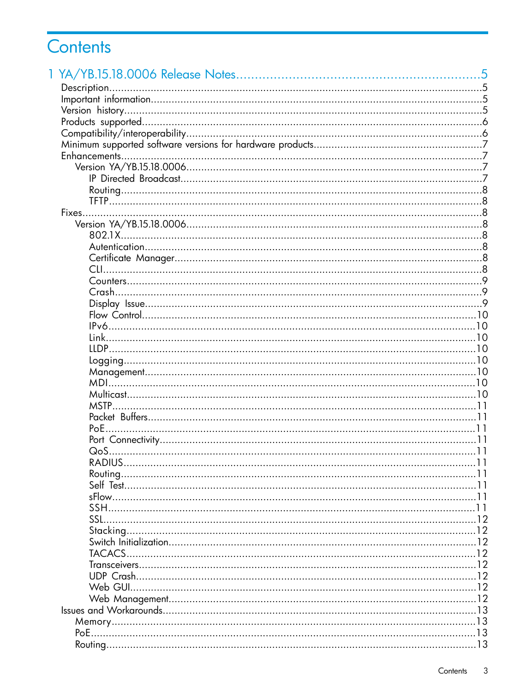## Contents

| MSTP          |  |
|---------------|--|
|               |  |
|               |  |
|               |  |
|               |  |
|               |  |
|               |  |
|               |  |
|               |  |
|               |  |
|               |  |
|               |  |
| <b>TACACS</b> |  |
|               |  |
|               |  |
|               |  |
|               |  |
|               |  |
|               |  |
|               |  |
|               |  |
|               |  |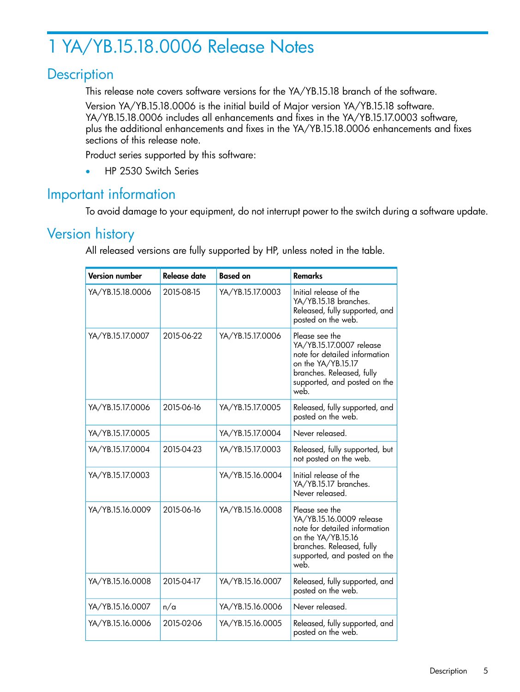## <span id="page-4-0"></span>1 YA/YB.15.18.0006 Release Notes

## **Description**

<span id="page-4-1"></span>This release note covers software versions for the YA/YB.15.18 branch of the software.

Version YA/YB.15.18.0006 is the initial build of Major version YA/YB.15.18 software. YA/YB.15.18.0006 includes all enhancements and fixes in the YA/YB.15.17.0003 software, plus the additional enhancements and fixes in the YA/YB.15.18.0006 enhancements and fixes sections of this release note.

Product series supported by this software:

<span id="page-4-2"></span>• HP 2530 Switch Series

## Important information

<span id="page-4-3"></span>To avoid damage to your equipment, do not interrupt power to the switch during a software update.

## Version history

All released versions are fully supported by HP, unless noted in the table.

| <b>Version number</b> | Release date | <b>Based on</b>  | <b>Remarks</b>                                                                                                                                                         |
|-----------------------|--------------|------------------|------------------------------------------------------------------------------------------------------------------------------------------------------------------------|
| YA/YB.15.18.0006      | 2015-08-15   | YA/YB.15.17.0003 | Initial release of the<br>YA/YB.15.18 branches.<br>Released, fully supported, and<br>posted on the web.                                                                |
| YA/YB.15.17.0007      | 2015-06-22   | YA/YB.15.17.0006 | Please see the<br>YA/YB.15.17.0007 release<br>note for detailed information<br>on the YA/YB.15.17<br>branches. Released, fully<br>supported, and posted on the<br>web. |
| YA/YB.15.17.0006      | 2015-06-16   | YA/YB.15.17.0005 | Released, fully supported, and<br>posted on the web.                                                                                                                   |
| YA/YB.15.17.0005      |              | YA/YB.15.17.0004 | Never released.                                                                                                                                                        |
| YA/YB.15.17.0004      | 2015-04-23   | YA/YB.15.17.0003 | Released, fully supported, but<br>not posted on the web.                                                                                                               |
| YA/YB.15.17.0003      |              | YA/YB.15.16.0004 | Initial release of the<br>YA/YB.15.17 branches.<br>Never released.                                                                                                     |
| YA/YB.15.16.0009      | 2015-06-16   | YA/YB.15.16.0008 | Please see the<br>YA/YB.15.16.0009 release<br>note for detailed information<br>on the YA/YB.15.16<br>branches. Released, fully<br>supported, and posted on the<br>web. |
| YA/YB.15.16.0008      | 2015-04-17   | YA/YB.15.16.0007 | Released, fully supported, and<br>posted on the web.                                                                                                                   |
| YA/YB.15.16.0007      | n/a          | YA/YB.15.16.0006 | Never released.                                                                                                                                                        |
| YA/YB.15.16.0006      | 2015-02-06   | YA/YB.15.16.0005 | Released, fully supported, and<br>posted on the web.                                                                                                                   |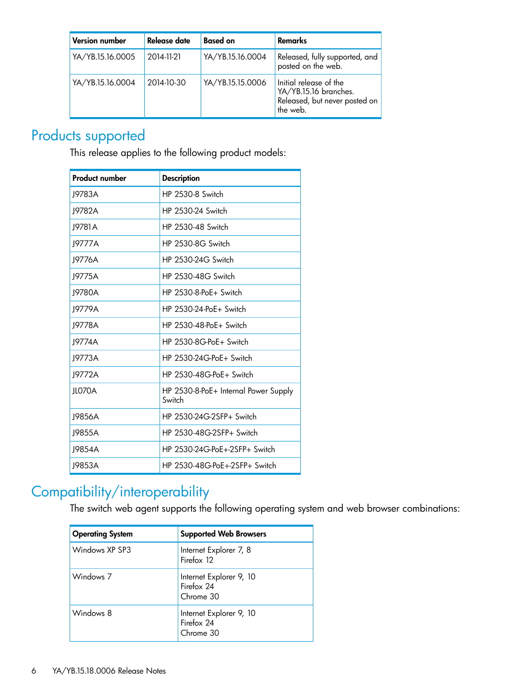| <b>Version number</b> | Release date | <b>Based on</b>  | <b>Remarks</b>                                                                               |
|-----------------------|--------------|------------------|----------------------------------------------------------------------------------------------|
| YA/YB.15.16.0005      | 2014-11-21   | YA/YB.15.16.0004 | Released, fully supported, and<br>posted on the web.                                         |
| YA/YB.15.16.0004      | 2014-10-30   | YA/YB.15.15.0006 | Initial release of the<br>YA/YB.15.16 branches.<br>Released, but never posted on<br>the web. |

## Products supported

<span id="page-5-0"></span>This release applies to the following product models:

| <b>Product number</b> | <b>Description</b>                             |  |
|-----------------------|------------------------------------------------|--|
| 19783A                | <b>HP 2530-8 Switch</b>                        |  |
| 19782A                | HP 2530-24 Switch                              |  |
| 19781 A               | HP 2530-48 Switch                              |  |
| 19777A                | <b>HP 2530-8G Switch</b>                       |  |
| 19776A                | HP 2530-24G Switch                             |  |
| 19775A                | HP 2530-48G Switch                             |  |
| 19780A                | $HP$ 2530-8-PoF+ Switch                        |  |
| 19779A                | HP 2530-24-PoF+ Switch                         |  |
| J9778A                | HP 2530-48-PoF+ Switch                         |  |
| 19774A                | $HP$ 2530-8G-PoF+ Switch                       |  |
| 19773A                | $HP$ 2530-24G-PoF+ Switch                      |  |
| 19772A                | $HP$ 2530-48G-PoF+ Switch                      |  |
| ILO70A                | HP 2530-8-PoE+ Internal Power Supply<br>Switch |  |
| J9856A                | HP 2530-24G-2SFP+ Switch                       |  |
| J9855A                | HP 2530-48G-2SFP+ Switch                       |  |
| 19854A                | HP 2530-24G-PoF+-2SFP+ Switch                  |  |
| 19853A                | HP 2530-48G-PoF+-2SFP+ Switch                  |  |

## <span id="page-5-1"></span>Compatibility/interoperability

The switch web agent supports the following operating system and web browser combinations:

| <b>Operating System</b> | <b>Supported Web Browsers</b>                      |
|-------------------------|----------------------------------------------------|
| Windows XP SP3          | Internet Explorer 7, 8<br>Firefox 12               |
| Windows <sub>7</sub>    | Internet Explorer 9, 10<br>Firefox 24<br>Chrome 30 |
| Windows 8               | Internet Explorer 9, 10<br>Firefox 24<br>Chrome 30 |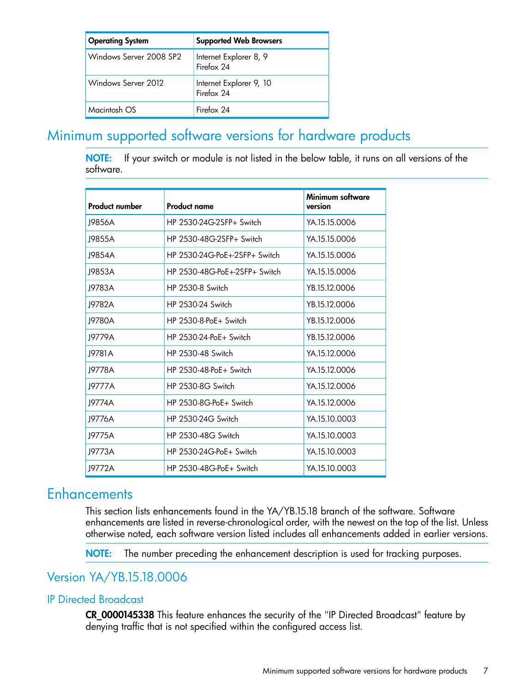| <b>Operating System</b> | <b>Supported Web Browsers</b>         |  |
|-------------------------|---------------------------------------|--|
| Windows Server 2008 SP2 | Internet Explorer 8, 9<br>Firefox 24  |  |
| Windows Server 2012     | Internet Explorer 9, 10<br>Firefox 24 |  |
| Macintosh OS            | Firefox 24                            |  |

## <span id="page-6-0"></span>Minimum supported software versions for hardware products

NOTE: If your switch or module is not listed in the below table, it runs on all versions of the software.

| <b>Product number</b> | <b>Product name</b>                    | Minimum software<br>version |
|-----------------------|----------------------------------------|-----------------------------|
| 19856A                | HP 2530-24G-2SFP+ Switch               | YA.15.15.0006               |
| 19855A                | HP 2530-48G-2SFP+ Switch               | YA 15 15 0006               |
| 19854A                | $HP$ 2530-24G-PoF $+$ -2SFP $+$ Switch | YA.15.15.0006               |
| 19853A                | HP 2530-48G-PoE+-2SFP+ Switch          | YA.15.15.0006               |
| 19783A                | HP 2530-8 Switch                       | YB.15.12.0006               |
| 19782A                | HP 2530-24 Switch                      | YB.15.12.0006               |
| 19780A                | $HP$ 2530-8-PoF $+$ Switch             | YB.15.12.0006               |
| 19779A                | $HP$ 2530-24-PoF+ Switch               | YB.15.12.0006               |
| J9781A                | HP 2530-48 Switch                      | YA.15.12.0006               |
| 19778A                | $HP$ 2530-48-PoF+ Switch               | YA.15.12.0006               |
| 19777A                | HP 2530-8G Switch                      | YA.15.12.0006               |
| 19774A                | $HP$ 2530-8G-PoF+ Switch               | YA 15.12.0006               |
| 19776A                | HP 2530-24G Switch                     | YA 15.10.0003               |
| J9775A                | HP 2530-48G Switch                     | YA.15.10.0003               |
| 19773A                | $HP$ 2530-24G-PoE+ Switch              | YA.15.10.0003               |
| 19772A                | $HP$ 2530-48G-PoF+ Switch              | YA.15.10.0003               |

## <span id="page-6-1"></span>**Enhancements**

<span id="page-6-2"></span>This section lists enhancements found in the YA/YB.15.18 branch of the software. Software enhancements are listed in reverse-chronological order, with the newest on the top of the list. Unless otherwise noted, each software version listed includes all enhancements added in earlier versions.

<span id="page-6-3"></span>NOTE: The number preceding the enhancement description is used for tracking purposes.

### Version YA/YB.15.18.0006

#### IP Directed Broadcast

CR\_0000145338 This feature enhances the security of the "IP Directed Broadcast" feature by denying traffic that is not specified within the configured access list.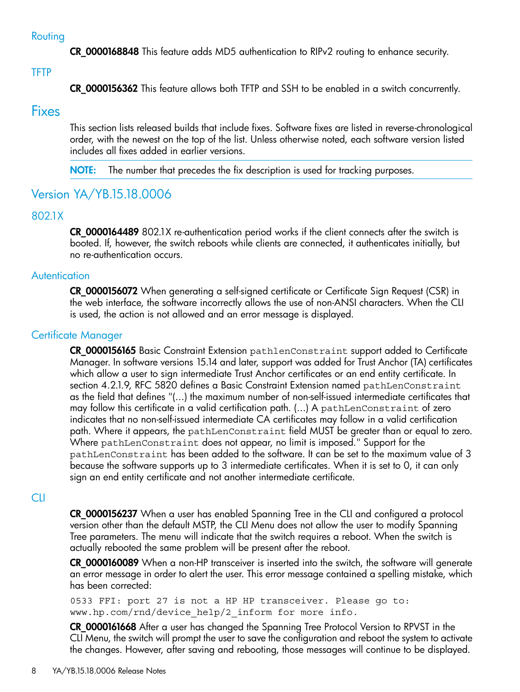#### Routing

<span id="page-7-1"></span><span id="page-7-0"></span>CR\_0000168848 This feature adds MD5 authentication to RIPv2 routing to enhance security.

#### **TFTP**

<span id="page-7-2"></span>CR\_0000156362 This feature allows both TFTP and SSH to be enabled in a switch concurrently.

#### Fixes

This section lists released builds that include fixes. Software fixes are listed in reverse-chronological order, with the newest on the top of the list. Unless otherwise noted, each software version listed includes all fixes added in earlier versions.

<span id="page-7-4"></span><span id="page-7-3"></span>NOTE: The number that precedes the fix description is used for tracking purposes.

### Version YA/YB.15.18.0006

#### 802.1X

<span id="page-7-5"></span>**CR 0000164489** 802.1X re-authentication period works if the client connects after the switch is booted. If, however, the switch reboots while clients are connected, it authenticates initially, but no re-authentication occurs.

#### **Autentication**

<span id="page-7-6"></span>CR\_0000156072 When generating a self-signed certificate or Certificate Sign Request (CSR) in the web interface, the software incorrectly allows the use of non-ANSI characters. When the CLI is used, the action is not allowed and an error message is displayed.

#### Certificate Manager

CR\_0000156165 Basic Constraint Extension pathlenConstraint support added to Certificate Manager. In software versions 15.14 and later, support was added for Trust Anchor (TA) certificates which allow a user to sign intermediate Trust Anchor certificates or an end entity certificate. In section 4.2.1.9, RFC 5820 defines a Basic Constraint Extension named pathLenConstraint as the field that defines "(...) the maximum number of non-self-issued intermediate certificates that may follow this certificate in a valid certification path. (...) A pathLenConstraint of zero indicates that no non-self-issued intermediate CA certificates may follow in a valid certification path. Where it appears, the pathLenConstraint field MUST be greater than or equal to zero. Where pathLenConstraint does not appear, no limit is imposed." Support for the pathLenConstraint has been added to the software. It can be set to the maximum value of 3 because the software supports up to 3 intermediate certificates. When it is set to 0, it can only sign an end entity certificate and not another intermediate certificate.

#### <span id="page-7-7"></span>CLI

CR\_0000156237 When a user has enabled Spanning Tree in the CLI and configured a protocol version other than the default MSTP, the CLI Menu does not allow the user to modify Spanning Tree parameters. The menu will indicate that the switch requires a reboot. When the switch is actually rebooted the same problem will be present after the reboot.

**CR\_0000160089** When a non-HP transceiver is inserted into the switch, the software will generate an error message in order to alert the user. This error message contained a spelling mistake, which has been corrected:

0533 FFI: port 27 is not a HP HP transceiver. Please go to: www.hp.com/rnd/device help/2 inform for more info.

CR\_0000161668 After a user has changed the Spanning Tree Protocol Version to RPVST in the CLI Menu, the switch will prompt the user to save the configuration and reboot the system to activate the changes. However, after saving and rebooting, those messages will continue to be displayed.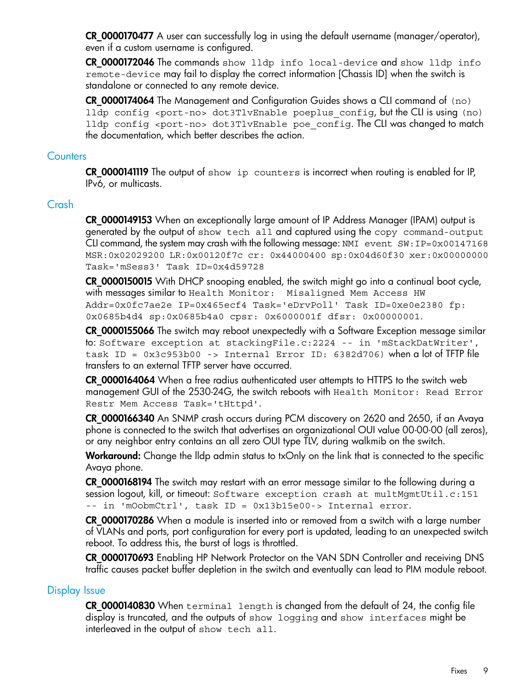CR\_0000170477 A user can successfully log in using the default username (manager/operator), even if a custom username is configured.

CR\_0000172046 The commands show lldp info local-device and show lldp info remote-device may fail to display the correct information [Chassis ID] when the switch is standalone or connected to any remote device.

<span id="page-8-0"></span>CR\_0000174064 The Management and Configuration Guides shows a CLI command of (no) lldp config <port-no> dot3TlvEnable poeplus\_config, but the CLI is using (no) lldp config <port-no> dot3TlvEnable poe config. The CLI was changed to match the documentation, which better describes the action.

#### **Counters**

<span id="page-8-1"></span>CR\_0000141119 The output of show ip counters is incorrect when routing is enabled for IP, IPv6, or multicasts.

#### Crash

CR\_0000149153 When an exceptionally large amount of IP Address Manager (IPAM) output is generated by the output of show tech all and captured using the copy command-output CLI command, the system may crash with the following message: NMI event SW:IP=0x00147168 MSR:0x02029200 LR:0x00120f7c cr: 0x44000400 sp:0x04d60f30 xer:0x00000000 Task='mSess3' Task ID=0x4d59728

CR\_0000150015 With DHCP snooping enabled, the switch might go into a continual boot cycle, with messages similar to Health Monitor: Misaligned Mem Access HW Addr=0x0fc7ae2e IP=0x465ecf4 Task='eDrvPoll' Task ID=0xe0e2380 fp: 0x0685b4d4 sp:0x0685b4a0 cpsr: 0x6000001f dfsr: 0x00000001.

CR\_0000155066 The switch may reboot unexpectedly with a Software Exception message similar to: Software exception at stackingFile.c:2224 -- in 'mStackDatWriter', task ID = 0x3c953b00 -> Internal Error ID: 6382d706) when a lot of TFTP file transfers to an external TFTP server have occurred.

CR\_0000164064 When a free radius authenticated user attempts to HTTPS to the switch web management GUI of the 2530-24G, the switch reboots with Health Monitor: Read Error Restr Mem Access Task='tHttpd'.

CR\_0000166340 An SNMP crash occurs during PCM discovery on 2620 and 2650, if an Avaya phone is connected to the switch that advertises an organizational OUI value 00-00-00 (all zeros), or any neighbor entry contains an all zero OUI type TLV, during walkmib on the switch.

Workaround: Change the Ildp admin status to txOnly on the link that is connected to the specific Avaya phone.

CR\_0000168194 The switch may restart with an error message similar to the following during a session logout, kill, or timeout: Software exception crash at multMgmtUtil.c:151 -- in 'mOobmCtrl', task ID = 0x13b15e00-> Internal error.

<span id="page-8-2"></span>CR 0000170286 When a module is inserted into or removed from a switch with a large number of VLANs and ports, port configuration for every port is updated, leading to an unexpected switch reboot. To address this, the burst of logs is throttled.

CR\_0000170693 Enabling HP Network Protector on the VAN SDN Controller and receiving DNS traffic causes packet buffer depletion in the switch and eventually can lead to PIM module reboot.

#### Display Issue

CR 0000140830 When terminal length is changed from the default of 24, the config file display is truncated, and the outputs of show logging and show interfaces might be interleaved in the output of show tech all.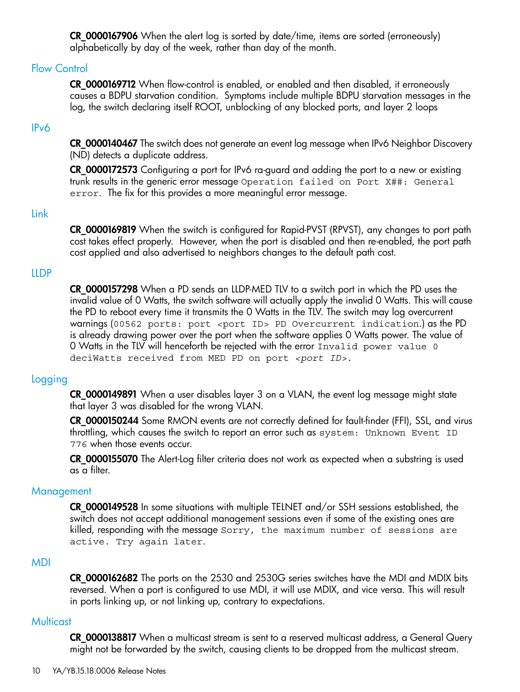<span id="page-9-0"></span>CR\_0000167906 When the alert log is sorted by date/time, items are sorted (erroneously) alphabetically by day of the week, rather than day of the month.

#### Flow Control

<span id="page-9-1"></span>CR 0000169712 When flow-control is enabled, or enabled and then disabled, it erroneously causes a BDPU starvation condition. Symptoms include multiple BDPU starvation messages in the log, the switch declaring itself ROOT, unblocking of any blocked ports, and layer 2 loops

#### IPv6

CR\_0000140467 The switch does not generate an event log message when IPv6 Neighbor Discovery (ND) detects a duplicate address.

<span id="page-9-2"></span>CR\_0000172573 Configuring a port for IPv6 ra-guard and adding the port to a new or existing trunk results in the generic error message Operation failed on Port X##: General error. The fix for this provides a more meaningful error message.

#### Link

<span id="page-9-3"></span>CR 0000169819 When the switch is configured for Rapid-PVST (RPVST), any changes to port path cost takes effect properly. However, when the port is disabled and then re-enabled, the port path cost applied and also advertised to neighbors changes to the default path cost.

#### LLDP

<span id="page-9-4"></span>CR\_0000157298 When a PD sends an LLDP-MED TLV to a switch port in which the PD uses the invalid value of 0 Watts, the switch software will actually apply the invalid 0 Watts. This will cause the PD to reboot every time it transmits the 0 Watts in the TLV. The switch may log overcurrent warnings (00562 ports: port <port ID> PD Overcurrent indication.) as the PD is already drawing power over the port when the software applies 0 Watts power. The value of 0 Watts in the TLV will henceforth be rejected with the error Invalid power value 0 deciWatts received from MED PD on port *<port ID>*.

#### Logging

CR\_0000149891 When a user disables layer 3 on a VLAN, the event log message might state that layer 3 was disabled for the wrong VLAN.

<span id="page-9-5"></span>CR\_0000150244 Some RMON events are not correctly defined for fault-finder (FFI), SSL, and virus throttling, which causes the switch to report an error such as system: Unknown Event ID 776 when those events occur.

CR\_0000155070 The Alert-Log filter criteria does not work as expected when a substring is used as a filter.

#### **Management**

<span id="page-9-6"></span>CR 0000149528 In some situations with multiple TELNET and/or SSH sessions established, the switch does not accept additional management sessions even if some of the existing ones are killed, responding with the message Sorry, the maximum number of sessions are active. Try again later.

#### MDI

<span id="page-9-7"></span>CR\_0000162682 The ports on the 2530 and 2530G series switches have the MDI and MDIX bits reversed. When a port is configured to use MDI, it will use MDIX, and vice versa. This will result in ports linking up, or not linking up, contrary to expectations.

#### **Multicast**

CR\_0000138817 When a multicast stream is sent to a reserved multicast address, a General Query might not be forwarded by the switch, causing clients to be dropped from the multicast stream.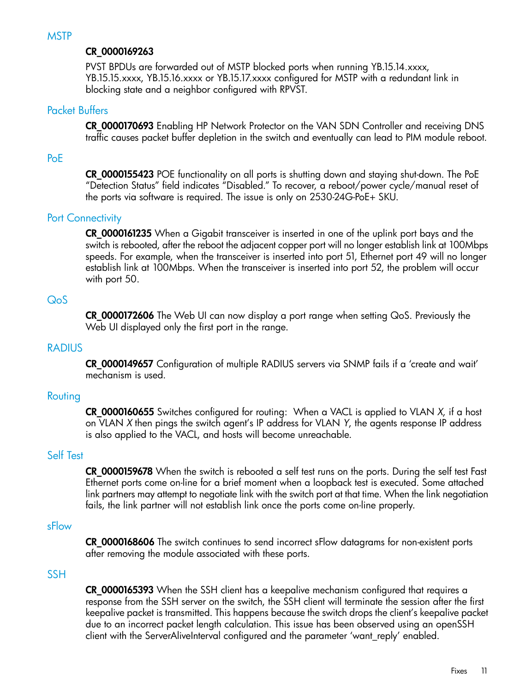#### <span id="page-10-0"></span>CR\_0000169263

<span id="page-10-1"></span>PVST BPDUs are forwarded out of MSTP blocked ports when running YB.15.14.xxxx, YB.15.15.xxxx, YB.15.16.xxxx or YB.15.17.xxxx configured for MSTP with a redundant link in blocking state and a neighbor configured with RPVST.

#### Packet Buffers

<span id="page-10-2"></span>CR 0000170693 Enabling HP Network Protector on the VAN SDN Controller and receiving DNS traffic causes packet buffer depletion in the switch and eventually can lead to PIM module reboot.

#### PoE

<span id="page-10-3"></span>CR\_0000155423 POE functionality on all ports is shutting down and staying shut-down. The PoE "Detection Status" field indicates "Disabled." To recover, a reboot/power cycle/manual reset of the ports via software is required. The issue is only on 2530-24G-PoE+ SKU.

#### Port Connectivity

<span id="page-10-4"></span>CR\_0000161235 When a Gigabit transceiver is inserted in one of the uplink port bays and the switch is rebooted, after the reboot the adjacent copper port will no longer establish link at 100Mbps speeds. For example, when the transceiver is inserted into port 51, Ethernet port 49 will no longer establish link at 100Mbps. When the transceiver is inserted into port 52, the problem will occur with port 50.

#### QoS

<span id="page-10-5"></span>CR\_0000172606 The Web UI can now display a port range when setting QoS. Previously the Web UI displayed only the first port in the range.

#### RADIUS

<span id="page-10-6"></span>CR\_0000149657 Configuration of multiple RADIUS servers via SNMP fails if a 'create and wait' mechanism is used.

#### Routing

<span id="page-10-7"></span>CR\_0000160655 Switches configured for routing: When a VACL is applied to VLAN *X*, if a host on VLAN *X* then pings the switch agent's IP address for VLAN *Y*, the agents response IP address is also applied to the VACL, and hosts will become unreachable.

#### Self Test

<span id="page-10-8"></span>CR\_0000159678 When the switch is rebooted a self test runs on the ports. During the self test Fast Ethernet ports come on-line for a brief moment when a loopback test is executed. Some attached link partners may attempt to negotiate link with the switch port at that time. When the link negotiation fails, the link partner will not establish link once the ports come on-line properly.

#### sFlow

<span id="page-10-9"></span>CR\_0000168606 The switch continues to send incorrect sFlow datagrams for non-existent ports after removing the module associated with these ports.

#### **SSH**

CR\_0000165393 When the SSH client has a keepalive mechanism configured that requires a response from the SSH server on the switch, the SSH client will terminate the session after the first keepalive packet is transmitted. This happens because the switch drops the client's keepalive packet due to an incorrect packet length calculation. This issue has been observed using an openSSH client with the ServerAliveInterval configured and the parameter 'want\_reply' enabled.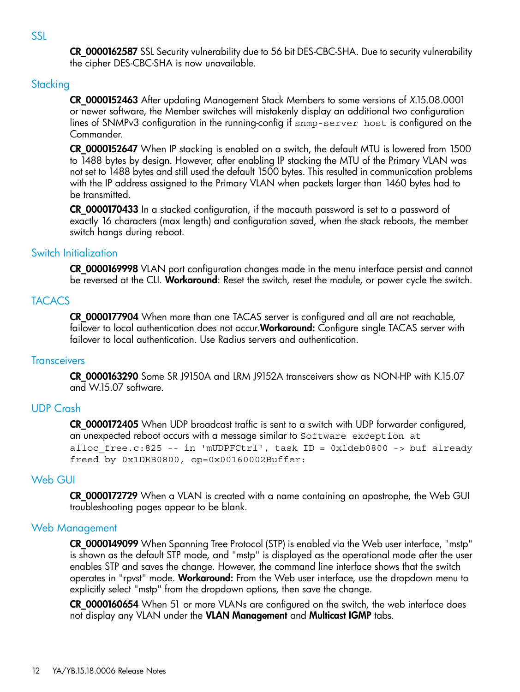<span id="page-11-1"></span><span id="page-11-0"></span>CR\_0000162587 SSL Security vulnerability due to 56 bit DES-CBC-SHA. Due to security vulnerability the cipher DES-CBC-SHA is now unavailable.

#### **Stacking**

CR\_0000152463 After updating Management Stack Members to some versions of *X*.15.08.0001 or newer software, the Member switches will mistakenly display an additional two configuration lines of SNMPv3 configuration in the running-config if snmp-server host is configured on the Commander.

CR\_0000152647 When IP stacking is enabled on a switch, the default MTU is lowered from 1500 to 1488 bytes by design. However, after enabling IP stacking the MTU of the Primary VLAN was not set to 1488 bytes and still used the default 1500 bytes. This resulted in communication problems with the IP address assigned to the Primary VLAN when packets larger than 1460 bytes had to be transmitted.

<span id="page-11-2"></span>CR\_0000170433 In a stacked configuration, if the macauth password is set to a password of exactly 16 characters (max length) and configuration saved, when the stack reboots, the member switch hangs during reboot.

#### Switch Initialization

<span id="page-11-3"></span>CR\_0000169998 VLAN port configuration changes made in the menu interface persist and cannot be reversed at the CLI. Workaround: Reset the switch, reset the module, or power cycle the switch.

#### **TACACS**

<span id="page-11-4"></span>CR\_0000177904 When more than one TACAS server is configured and all are not reachable, failover to local authentication does not occur. Workaround: Configure single TACAS server with failover to local authentication. Use Radius servers and authentication.

#### **Transceivers**

<span id="page-11-5"></span>CR\_0000163290 Some SR J9150A and LRM J9152A transceivers show as NON-HP with K.15.07 and W.15.07 software.

#### UDP Crash

<span id="page-11-6"></span>**CR 0000172405** When UDP broadcast traffic is sent to a switch with UDP forwarder configured, an unexpected reboot occurs with a message similar to Software exception at alloc free.c:825 -- in 'mUDPFCtrl', task ID = 0x1deb0800 -> buf already freed by 0x1DEB0800, op=0x00160002Buffer:

#### Web GUI

<span id="page-11-7"></span>CR\_0000172729 When a VLAN is created with a name containing an apostrophe, the Web GUI troubleshooting pages appear to be blank.

#### Web Management

CR 0000149099 When Spanning Tree Protocol (STP) is enabled via the Web user interface, "mstp" is shown as the default STP mode, and "mstp" is displayed as the operational mode after the user enables STP and saves the change. However, the command line interface shows that the switch operates in "rpvst" mode. Workaround: From the Web user interface, use the dropdown menu to explicitly select "mstp" from the dropdown options, then save the change.

CR\_0000160654 When 51 or more VLANs are configured on the switch, the web interface does not display any VLAN under the VLAN Management and Multicast IGMP tabs.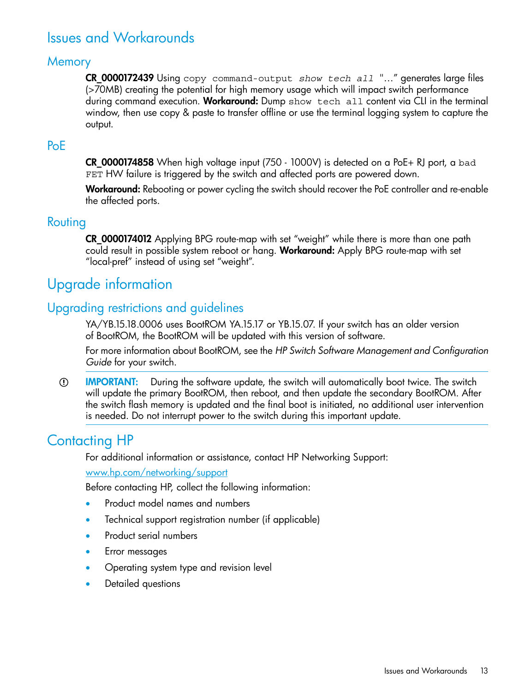## <span id="page-12-0"></span>Issues and Workarounds

#### **Memory**

<span id="page-12-1"></span>CR\_0000172439 Using copy command-output *show tech all* "…" generates large files (>70MB) creating the potential for high memory usage which will impact switch performance during command execution. Workaround: Dump show tech all content via CLI in the terminal window, then use copy & paste to transfer offline or use the terminal logging system to capture the output.

#### <span id="page-12-2"></span>PoE

CR\_0000174858 When high voltage input (750 - 1000V) is detected on a PoE+ RJ port, a bad FET HW failure is triggered by the switch and affected ports are powered down.

<span id="page-12-3"></span>Workaround: Rebooting or power cycling the switch should recover the PoE controller and re-enable the affected ports.

#### Routing

<span id="page-12-4"></span>CR\_0000174012 Applying BPG route-map with set "weight" while there is more than one path could result in possible system reboot or hang. Workaround: Apply BPG route-map with set "local-pref" instead of using set "weight".

## <span id="page-12-5"></span>Upgrade information

#### Upgrading restrictions and guidelines

YA/YB.15.18.0006 uses BootROM YA.15.17 or YB.15.07. If your switch has an older version of BootROM, the BootROM will be updated with this version of software.

For more information about BootROM, see the *HP Switch Software Management and Configuration Guide* for your switch.

<span id="page-12-6"></span>IMPORTANT: During the software update, the switch will automatically boot twice. The switch  $\mathbb{O}$ will update the primary BootROM, then reboot, and then update the secondary BootROM. After the switch flash memory is updated and the final boot is initiated, no additional user intervention is needed. Do not interrupt power to the switch during this important update.

## Contacting HP

For additional information or assistance, contact HP Networking Support:

#### [www.hp.com/networking/support](http://www.hp.com/networking/support)

Before contacting HP, collect the following information:

- Product model names and numbers
- Technical support registration number (if applicable)
- Product serial numbers
- Error messages
- Operating system type and revision level
- Detailed questions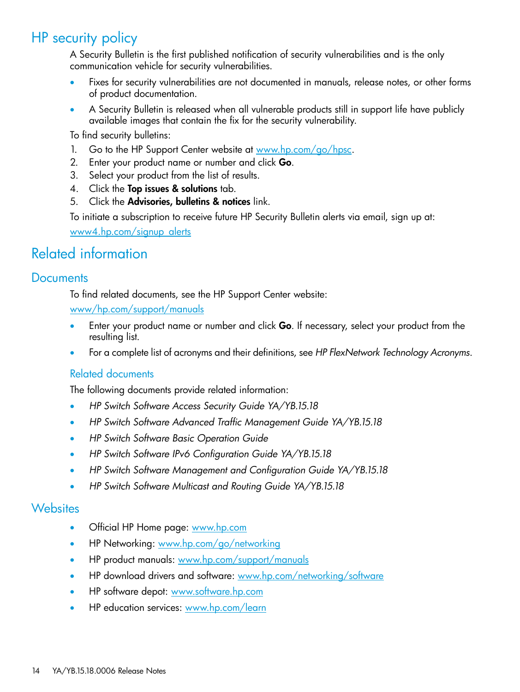## HP security policy

<span id="page-13-0"></span>A Security Bulletin is the first published notification of security vulnerabilities and is the only communication vehicle for security vulnerabilities.

- Fixes for security vulnerabilities are not documented in manuals, release notes, or other forms of product documentation.
- A Security Bulletin is released when all vulnerable products still in support life have publicly available images that contain the fix for the security vulnerability.

To find security bulletins:

- 1. Go to the HP Support Center website at <www.hp.com/go/hpsc>.
- 2. Enter your product name or number and click Go.
- 3. Select your product from the list of results.
- 4. Click the Top issues & solutions tab.
- 5. Click the Advisories, bulletins & notices link.

<span id="page-13-2"></span><span id="page-13-1"></span>To initiate a subscription to receive future HP Security Bulletin alerts via email, sign up at: [www4.hp.com/signup\\_alerts](http://h41183.www4.hp.com/signup_alerts.php?jumpid=hpsc_secbulletins)

## Related information

#### **Documents**

To find related documents, see the HP Support Center website:

[www/hp.com/support/manuals](http://www.hp.com/support/manuals)

- Enter your product name or number and click Go. If necessary, select your product from the resulting list.
- For a complete list of acronyms and their definitions, see *HP FlexNetwork Technology Acronyms*.

#### Related documents

The following documents provide related information:

- *HP Switch Software Access Security Guide YA/YB.15.18*
- *HP Switch Software Advanced Traffic Management Guide YA/YB.15.18*
- *HP Switch Software Basic Operation Guide*
- <span id="page-13-3"></span>• *HP Switch Software IPv6 Configuration Guide YA/YB.15.18*
- *HP Switch Software Management and Configuration Guide YA/YB.15.18*
- *HP Switch Software Multicast and Routing Guide YA/YB.15.18*

#### **Websites**

- Official HP Home page: [www.hp.com](http://www.hp.com)
- HP Networking: [www.hp.com/go/networking](http://www.hp.com/go/networking)
- HP product manuals: [www.hp.com/support/manuals](http://www.hp.com/support/manuals)
- HP download drivers and software: [www.hp.com/networking/software](http://www.hp.com/networking/software)
- HP software depot: [www.software.hp.com](http://www.software.hp.com)
- HP education services: [www.hp.com/learn](http://www.hp.com/learn)